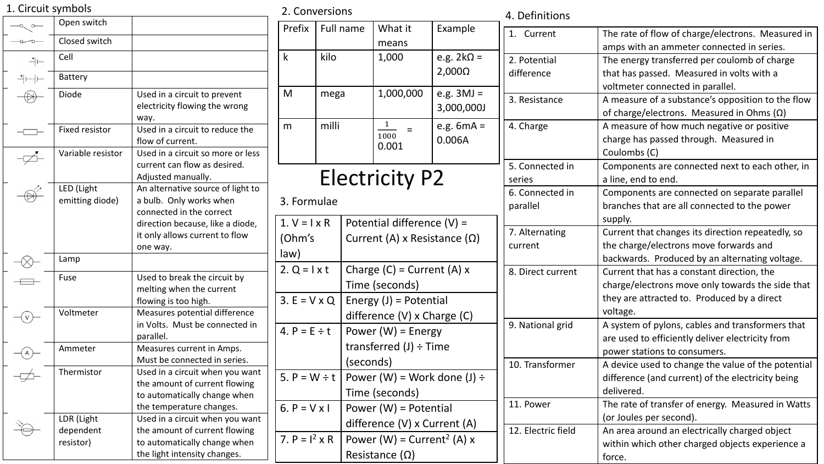| 1. Circuit symbols                      |                                                                                                                                            |                                                     | 2. Conversions                                                   |                                                       |                                                     |                        | 4. Definitions                                    |                                                    |
|-----------------------------------------|--------------------------------------------------------------------------------------------------------------------------------------------|-----------------------------------------------------|------------------------------------------------------------------|-------------------------------------------------------|-----------------------------------------------------|------------------------|---------------------------------------------------|----------------------------------------------------|
| $-\alpha$ o                             | Open switch                                                                                                                                |                                                     | Prefix                                                           | Full name                                             | What it                                             | Example                |                                                   |                                                    |
| $\overline{\phantom{a}}$                | Closed switch                                                                                                                              |                                                     |                                                                  |                                                       | means                                               |                        | 1. Current                                        | The rate of flow of charge/electrons. Measured in  |
|                                         | Cell                                                                                                                                       |                                                     | k                                                                | kilo                                                  | 1,000                                               | e.g. $2k\Omega =$      |                                                   | amps with an ammeter connected in series.          |
| ┪⊢                                      |                                                                                                                                            |                                                     |                                                                  |                                                       |                                                     |                        | 2. Potential                                      | The energy transferred per coulomb of charge       |
| ⇒⊢⊶                                     | Battery                                                                                                                                    |                                                     |                                                                  |                                                       |                                                     | $2,000\Omega$          | difference                                        | that has passed. Measured in volts with a          |
| $\bigoplus$                             | Diode                                                                                                                                      | Used in a circuit to prevent                        | M                                                                | mega                                                  | 1,000,000                                           | e.g. $3MJ =$           |                                                   | voltmeter connected in parallel.                   |
|                                         |                                                                                                                                            | electricity flowing the wrong                       |                                                                  |                                                       |                                                     | 3,000,000J             | 3. Resistance                                     | A measure of a substance's opposition to the flow  |
|                                         |                                                                                                                                            | way.                                                |                                                                  |                                                       |                                                     |                        |                                                   | of charge/electrons. Measured in Ohms $(\Omega)$   |
| $\begin{tabular}{c} \top \end{tabular}$ | <b>Fixed resistor</b>                                                                                                                      | Used in a circuit to reduce the<br>flow of current. | m                                                                | milli                                                 | 1                                                   | e.g. $6mA =$<br>0.006A | 4. Charge                                         | A measure of how much negative or positive         |
|                                         |                                                                                                                                            |                                                     |                                                                  |                                                       | 1000<br>0.001                                       |                        |                                                   | charge has passed through. Measured in             |
| $\not\Rightarrow$                       | Variable resistor                                                                                                                          | Used in a circuit so more or less                   |                                                                  |                                                       |                                                     |                        |                                                   | Coulombs (C)                                       |
|                                         |                                                                                                                                            | current can flow as desired.                        |                                                                  |                                                       |                                                     |                        | 5. Connected in                                   | Components are connected next to each other, in    |
|                                         |                                                                                                                                            | Adjusted manually.                                  |                                                                  |                                                       | <b>Electricity P2</b>                               |                        | series                                            | a line, end to end.                                |
| $\circledcirc$                          | LED (Light                                                                                                                                 | An alternative source of light to                   |                                                                  |                                                       |                                                     |                        | 6. Connected in                                   | Components are connected on separate parallel      |
|                                         | emitting diode)<br>a bulb. Only works when<br>connected in the correct                                                                     |                                                     | 3. Formulae                                                      |                                                       |                                                     |                        | parallel                                          | branches that are all connected to the power       |
|                                         |                                                                                                                                            | direction because, like a diode,                    |                                                                  | $1. V = I \times R$                                   | Potential difference $(V)$ =                        |                        |                                                   | supply.                                            |
|                                         | it only allows current to flow<br>one way.                                                                                                 |                                                     | (Ohm's                                                           |                                                       | Current (A) x Resistance ( $\Omega$ )               |                        | 7. Alternating                                    | Current that changes its direction repeatedly, so  |
|                                         |                                                                                                                                            |                                                     |                                                                  |                                                       |                                                     |                        | current                                           | the charge/electrons move forwards and             |
| $-\otimes$                              | Lamp                                                                                                                                       |                                                     | law)                                                             |                                                       |                                                     |                        |                                                   | backwards. Produced by an alternating voltage.     |
|                                         | Fuse                                                                                                                                       | Used to break the circuit by                        | $2. Q = l \times t$                                              |                                                       | Charge $(C)$ = Current $(A)$ x                      |                        | 8. Direct current                                 | Current that has a constant direction, the         |
| $\begin{tabular}{c} \top \end{tabular}$ |                                                                                                                                            | melting when the current                            |                                                                  |                                                       | Time (seconds)                                      |                        |                                                   | charge/electrons move only towards the side that   |
|                                         |                                                                                                                                            | flowing is too high.                                | $3. E = V \times Q$                                              |                                                       | Energy $(J)$ = Potential                            |                        |                                                   | they are attracted to. Produced by a direct        |
| $-\bigcirc$                             | Voltmeter                                                                                                                                  | Measures potential difference                       |                                                                  |                                                       | difference (V) x Charge (C)                         |                        |                                                   | voltage.                                           |
|                                         |                                                                                                                                            | in Volts. Must be connected in<br>parallel.         | 4. $P = E \div t$                                                |                                                       | Power $(W)$ = Energy<br>transferred $(J) \div$ Time |                        | 9. National grid                                  | A system of pylons, cables and transformers that   |
|                                         |                                                                                                                                            |                                                     |                                                                  |                                                       |                                                     |                        |                                                   | are used to efficiently deliver electricity from   |
| $\bigoplus$                             | Ammeter                                                                                                                                    | Measures current in Amps.                           |                                                                  |                                                       |                                                     |                        |                                                   | power stations to consumers.                       |
|                                         |                                                                                                                                            | Must be connected in series.                        |                                                                  |                                                       | (seconds)                                           |                        | 10. Transformer                                   | A device used to change the value of the potential |
| $\overline{\phantom{a}}$                | Thermistor<br>Used in a circuit when you want<br>the amount of current flowing<br>to automatically change when<br>the temperature changes. |                                                     |                                                                  | 5. $P = W \div t$<br>Power (W) = Work done (J) $\div$ |                                                     |                        |                                                   | difference (and current) of the electricity being  |
|                                         |                                                                                                                                            |                                                     | Time (seconds)<br>6. $P = V \times I$<br>Power $(W)$ = Potential |                                                       |                                                     |                        |                                                   | delivered.                                         |
|                                         |                                                                                                                                            |                                                     |                                                                  |                                                       |                                                     | 11. Power              | The rate of transfer of energy. Measured in Watts |                                                    |
|                                         | LDR (Light                                                                                                                                 | Used in a circuit when you want                     |                                                                  |                                                       |                                                     |                        |                                                   | (or Joules per second).                            |
|                                         | dependent                                                                                                                                  | the amount of current flowing                       |                                                                  |                                                       | difference (V) x Current (A)                        |                        | 12. Electric field                                | An area around an electrically charged object      |
|                                         | resistor)                                                                                                                                  | to automatically change when                        | 7. $P = I^2 \times R$                                            |                                                       | Power (W) = Current <sup>2</sup> (A) x              |                        |                                                   | within which other charged objects experience a    |
|                                         |                                                                                                                                            | the light intensity changes.                        |                                                                  |                                                       | Resistance $(\Omega)$                               |                        |                                                   | force.                                             |
|                                         |                                                                                                                                            |                                                     |                                                                  |                                                       |                                                     |                        |                                                   |                                                    |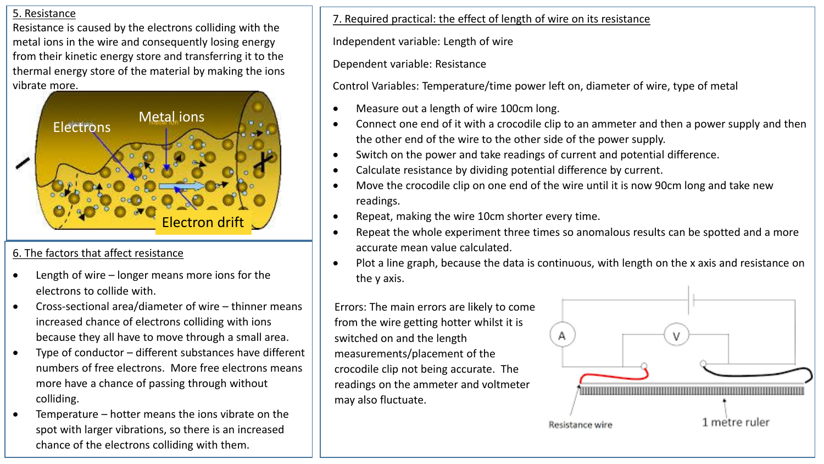#### 5. Resistance

Resistance is caused by the electrons colliding with the metal ions in the wire and consequently losing energy from their kinetic energy store and transferring it to the thermal energy store of the material by making the ions vibrate more.



# 6. The factors that affect resistance

- Length of wire longer means more ions for the electrons to collide with.
- Cross-sectional area/diameter of wire thinner means increased chance of electrons colliding with ions because they all have to move through a small area.
- Type of conductor different substances have different numbers of free electrons. More free electrons means more have a chance of passing through without colliding.
- Temperature hotter means the ions vibrate on the spot with larger vibrations, so there is an increased chance of the electrons colliding with them.

7. Required practical: the effect of length of wire on its resistance

Independent variable: Length of wire

Dependent variable: Resistance

Control Variables: Temperature/time power left on, diameter of wire, type of metal

- Measure out a length of wire 100cm long.
- Connect one end of it with a crocodile clip to an ammeter and then a power supply and then the other end of the wire to the other side of the power supply.
- Switch on the power and take readings of current and potential difference.
- Calculate resistance by dividing potential difference by current.
- Move the crocodile clip on one end of the wire until it is now 90cm long and take new readings.
- Repeat, making the wire 10cm shorter every time.
- Repeat the whole experiment three times so anomalous results can be spotted and a more accurate mean value calculated.
- Plot a line graph, because the data is continuous, with length on the x axis and resistance on the y axis.

Errors: The main errors are likely to come from the wire getting hotter whilst it is switched on and the length measurements/placement of the crocodile clip not being accurate. The readings on the ammeter and voltmeter may also fluctuate.

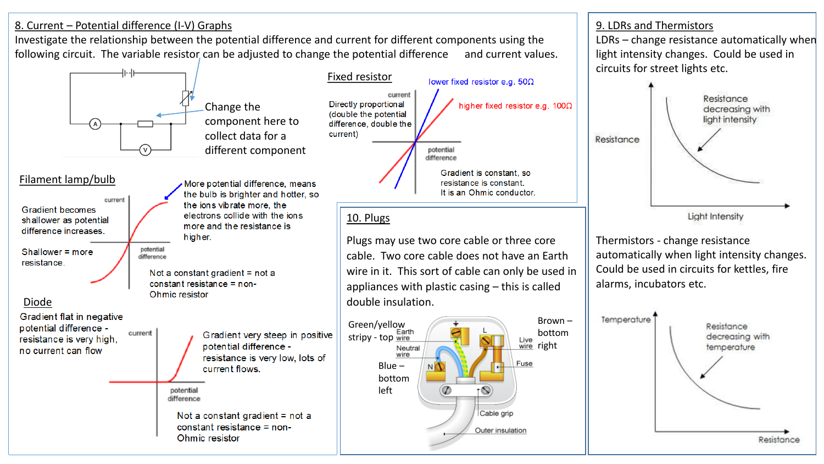## 8. Current – Potential difference (I-V) Graphs

Investigate the relationship between the potential difference and current for different components using the following circuit. The variable resistor can be adjusted to change the potential difference and current values.



9. LDRs and Thermistors

LDRs – change resistance automatically when

light intensity changes. Could be used in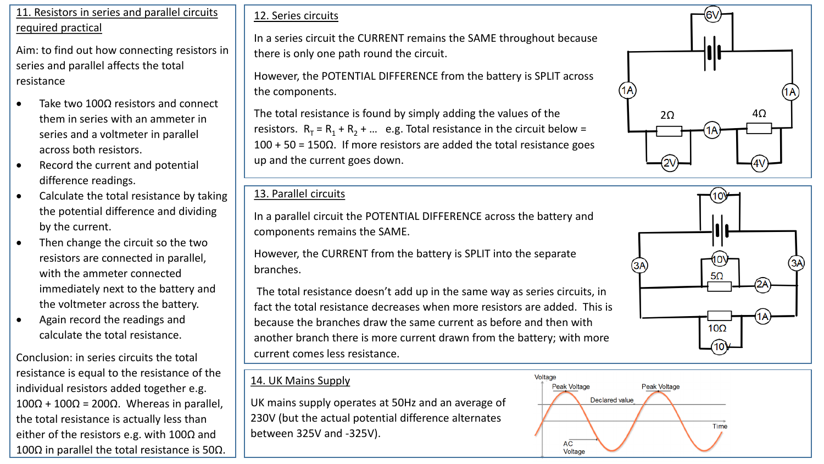#### 11. Resistors in series and parallel circuits required practical

Aim: to find out how connecting resistors in series and parallel affects the total resistance

- Take two 100 $\Omega$  resistors and connect them in series with an ammeter in series and a voltmeter in parallel across both resistors.
- Record the current and potential difference readings.
- Calculate the total resistance by taking the potential difference and dividing by the current.
- Then change the circuit so the two resistors are connected in parallel, with the ammeter connected immediately next to the battery and the voltmeter across the battery.
- Again record the readings and calculate the total resistance.

Conclusion: in series circuits the total resistance is equal to the resistance of the individual resistors added together e.g. 100Ω + 100Ω = 200Ω. Whereas in parallel, the total resistance is actually less than either of the resistors e.g. with 100 $\Omega$  and 100Ω in parallel the total resistance is 50Ω.

## 12. Series circuits

In a series circuit the CURRENT remains the SAME throughout because there is only one path round the circuit.

However, the POTENTIAL DIFFERENCE from the battery is SPLIT across the components.

The total resistance is found by simply adding the values of the resistors.  $R_T = R_1 + R_2 + ...$  e.g. Total resistance in the circuit below =  $100 + 50 = 150\Omega$ . If more resistors are added the total resistance goes up and the current goes down.

### 13. Parallel circuits

In a parallel circuit the POTENTIAL DIFFERENCE across the battery and components remains the SAME.

However, the CURRENT from the battery is SPLIT into the separate branches.

The total resistance doesn't add up in the same way as series circuits, in fact the total resistance decreases when more resistors are added. This is because the branches draw the same current as before and then with another branch there is more current drawn from the battery; with more current comes less resistance.

# 14. UK Mains Supply

UK mains supply operates at 50Hz and an average of 230V (but the actual potential difference alternates between 325V and -325V).